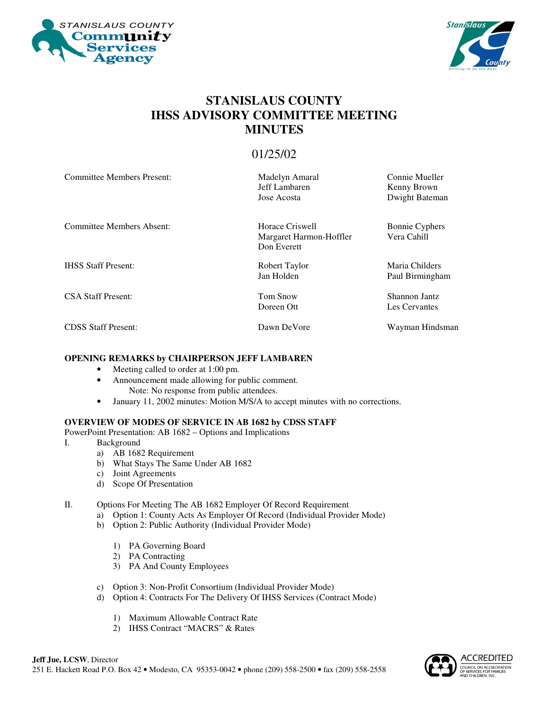



# **STANISLAUS COUNTY IHSS ADVISORY COMMITTEE MEETING MINUTES**

# 01/25/02

| <b>Committee Members Present:</b> | Madelyn Amaral<br>Jeff Lambaren<br>Jose Acosta            | Connie Mueller<br>Kenny Brown<br>Dwight Bateman |
|-----------------------------------|-----------------------------------------------------------|-------------------------------------------------|
| <b>Committee Members Absent:</b>  | Horace Criswell<br>Margaret Harmon-Hoffler<br>Don Everett | <b>Bonnie Cyphers</b><br>Vera Cahill            |
| <b>IHSS Staff Present:</b>        | Robert Taylor<br>Jan Holden                               | Maria Childers<br>Paul Birmingham               |
| <b>CSA Staff Present:</b>         | Tom Snow<br>Doreen Ott                                    | Shannon Jantz<br>Les Cervantes                  |
| <b>CDSS Staff Present:</b>        | Dawn DeVore                                               | Wayman Hindsman                                 |

#### **OPENING REMARKS by CHAIRPERSON JEFF LAMBAREN**

- Meeting called to order at 1:00 pm.
- Announcement made allowing for public comment. Note: No response from public attendees.
- January 11, 2002 minutes: Motion M/S/A to accept minutes with no corrections.

### **OVERVIEW OF MODES OF SERVICE IN AB 1682 by CDSS STAFF**

PowerPoint Presentation: AB 1682 – Options and Implications

- I. Background
	- a) AB 1682 Requirement
	- b) What Stays The Same Under AB 1682
	- c) Joint Agreements
	- d) Scope Of Presentation

### II. Options For Meeting The AB 1682 Employer Of Record Requirement

- a) Option 1: County Acts As Employer Of Record (Individual Provider Mode)
	- b) Option 2: Public Authority (Individual Provider Mode)
		- 1) PA Governing Board
		- 2) PA Contracting
		- 3) PA And County Employees
	- c) Option 3: Non-Profit Consortium (Individual Provider Mode)
	- d) Option 4: Contracts For The Delivery Of IHSS Services (Contract Mode)
		- 1) Maximum Allowable Contract Rate
		- 2) IHSS Contract "MACRS" & Rates